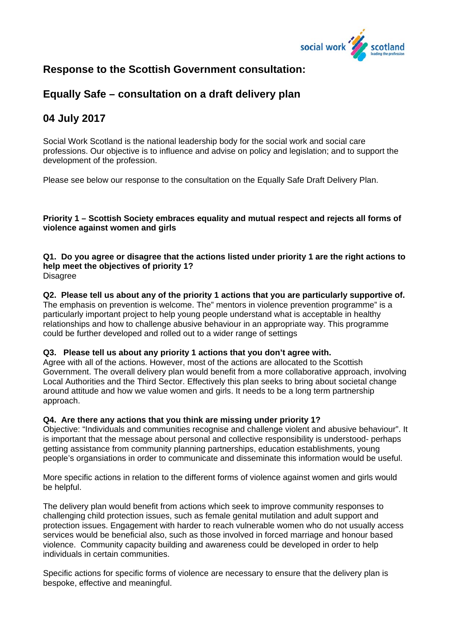

# **Response to the Scottish Government consultation:**

## **Equally Safe – consultation on a draft delivery plan**

# **04 July 2017**

Social Work Scotland is the national leadership body for the social work and social care professions. Our objective is to influence and advise on policy and legislation; and to support the development of the profession.

Please see below our response to the consultation on the Equally Safe Draft Delivery Plan.

## **Priority 1 – Scottish Society embraces equality and mutual respect and rejects all forms of violence against women and girls**

#### **Q1. Do you agree or disagree that the actions listed under priority 1 are the right actions to help meet the objectives of priority 1? Disagree**

**Q2. Please tell us about any of the priority 1 actions that you are particularly supportive of.**  The emphasis on prevention is welcome. The" mentors in violence prevention programme" is a particularly important project to help young people understand what is acceptable in healthy relationships and how to challenge abusive behaviour in an appropriate way. This programme could be further developed and rolled out to a wider range of settings

## **Q3. Please tell us about any priority 1 actions that you don't agree with.**

Agree with all of the actions. However, most of the actions are allocated to the Scottish Government. The overall delivery plan would benefit from a more collaborative approach, involving Local Authorities and the Third Sector. Effectively this plan seeks to bring about societal change around attitude and how we value women and girls. It needs to be a long term partnership approach.

## **Q4. Are there any actions that you think are missing under priority 1?**

Objective: "Individuals and communities recognise and challenge violent and abusive behaviour". It is important that the message about personal and collective responsibility is understood- perhaps getting assistance from community planning partnerships, education establishments, young people's organsiations in order to communicate and disseminate this information would be useful.

More specific actions in relation to the different forms of violence against women and girls would be helpful.

The delivery plan would benefit from actions which seek to improve community responses to challenging child protection issues, such as female genital mutilation and adult support and protection issues. Engagement with harder to reach vulnerable women who do not usually access services would be beneficial also, such as those involved in forced marriage and honour based violence. Community capacity building and awareness could be developed in order to help individuals in certain communities.

Specific actions for specific forms of violence are necessary to ensure that the delivery plan is bespoke, effective and meaningful.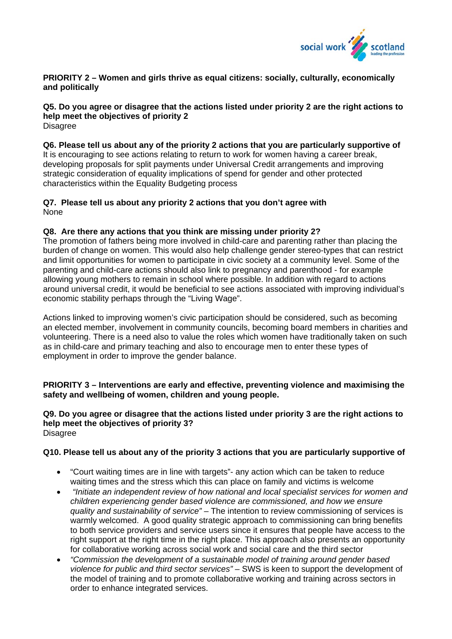

## **PRIORITY 2 – Women and girls thrive as equal citizens: socially, culturally, economically and politically**

## **Q5. Do you agree or disagree that the actions listed under priority 2 are the right actions to help meet the objectives of priority 2**

**Disagree** 

#### **Q6. Please tell us about any of the priority 2 actions that you are particularly supportive of**

It is encouraging to see actions relating to return to work for women having a career break, developing proposals for split payments under Universal Credit arrangements and improving strategic consideration of equality implications of spend for gender and other protected characteristics within the Equality Budgeting process

## **Q7. Please tell us about any priority 2 actions that you don't agree with**  None

## **Q8. Are there any actions that you think are missing under priority 2?**

The promotion of fathers being more involved in child-care and parenting rather than placing the burden of change on women. This would also help challenge gender stereo-types that can restrict and limit opportunities for women to participate in civic society at a community level. Some of the parenting and child-care actions should also link to pregnancy and parenthood - for example allowing young mothers to remain in school where possible. In addition with regard to actions around universal credit, it would be beneficial to see actions associated with improving individual's economic stability perhaps through the "Living Wage".

Actions linked to improving women's civic participation should be considered, such as becoming an elected member, involvement in community councils, becoming board members in charities and volunteering. There is a need also to value the roles which women have traditionally taken on such as in child-care and primary teaching and also to encourage men to enter these types of employment in order to improve the gender balance.

## **PRIORITY 3 – Interventions are early and effective, preventing violence and maximising the safety and wellbeing of women, children and young people.**

#### **Q9. Do you agree or disagree that the actions listed under priority 3 are the right actions to help meet the objectives of priority 3?**  Disagree

## **Q10. Please tell us about any of the priority 3 actions that you are particularly supportive of**

- "Court waiting times are in line with targets"- any action which can be taken to reduce waiting times and the stress which this can place on family and victims is welcome
- *"Initiate an independent review of how national and local specialist services for women and children experiencing gender based violence are commissioned, and how we ensure quality and sustainability of service"* – The intention to review commissioning of services is warmly welcomed. A good quality strategic approach to commissioning can bring benefits to both service providers and service users since it ensures that people have access to the right support at the right time in the right place. This approach also presents an opportunity for collaborative working across social work and social care and the third sector
- *"Commission the development of a sustainable model of training around gender based violence for public and third sector services"* – SWS is keen to support the development of the model of training and to promote collaborative working and training across sectors in order to enhance integrated services.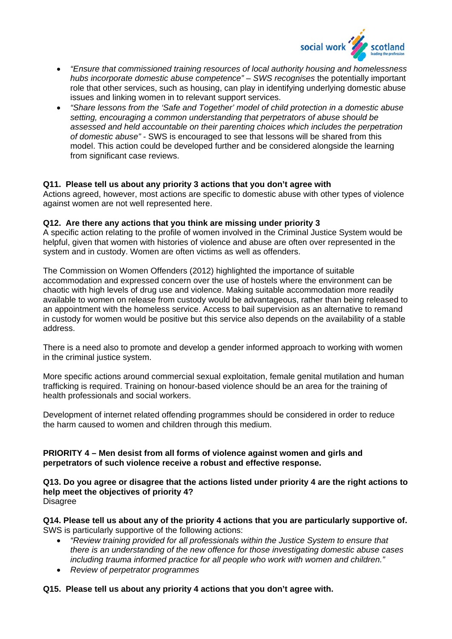

- *"Ensure that commissioned training resources of local authority housing and homelessness hubs incorporate domestic abuse competence" – SWS recognises* the potentially important role that other services, such as housing, can play in identifying underlying domestic abuse issues and linking women in to relevant support services.
- *"Share lessons from the 'Safe and Together' model of child protection in a domestic abuse setting, encouraging a common understanding that perpetrators of abuse should be assessed and held accountable on their parenting choices which includes the perpetration of domestic abuse"* - SWS is encouraged to see that lessons will be shared from this model. This action could be developed further and be considered alongside the learning from significant case reviews.

#### **Q11. Please tell us about any priority 3 actions that you don't agree with**

Actions agreed, however, most actions are specific to domestic abuse with other types of violence against women are not well represented here.

#### **Q12. Are there any actions that you think are missing under priority 3**

A specific action relating to the profile of women involved in the Criminal Justice System would be helpful, given that women with histories of violence and abuse are often over represented in the system and in custody. Women are often victims as well as offenders.

The Commission on Women Offenders (2012) highlighted the importance of suitable accommodation and expressed concern over the use of hostels where the environment can be chaotic with high levels of drug use and violence. Making suitable accommodation more readily available to women on release from custody would be advantageous, rather than being released to an appointment with the homeless service. Access to bail supervision as an alternative to remand in custody for women would be positive but this service also depends on the availability of a stable address.

There is a need also to promote and develop a gender informed approach to working with women in the criminal justice system.

More specific actions around commercial sexual exploitation, female genital mutilation and human trafficking is required. Training on honour-based violence should be an area for the training of health professionals and social workers.

Development of internet related offending programmes should be considered in order to reduce the harm caused to women and children through this medium.

#### **PRIORITY 4 – Men desist from all forms of violence against women and girls and perpetrators of such violence receive a robust and effective response.**

**Q13. Do you agree or disagree that the actions listed under priority 4 are the right actions to help meet the objectives of priority 4? Disagree** 

**Q14. Please tell us about any of the priority 4 actions that you are particularly supportive of.**  SWS is particularly supportive of the following actions:

- *"Review training provided for all professionals within the Justice System to ensure that there is an understanding of the new offence for those investigating domestic abuse cases including trauma informed practice for all people who work with women and children."*
- *Review of perpetrator programmes*

#### **Q15. Please tell us about any priority 4 actions that you don't agree with.**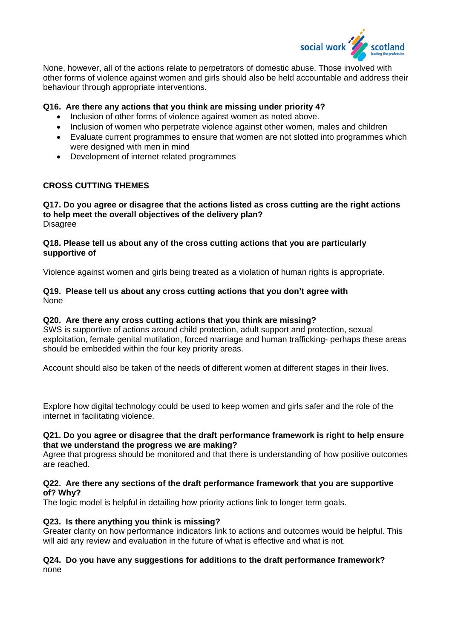

None, however, all of the actions relate to perpetrators of domestic abuse. Those involved with other forms of violence against women and girls should also be held accountable and address their behaviour through appropriate interventions.

### **Q16. Are there any actions that you think are missing under priority 4?**

- Inclusion of other forms of violence against women as noted above.
- Inclusion of women who perpetrate violence against other women, males and children
- Evaluate current programmes to ensure that women are not slotted into programmes which were designed with men in mind
- Development of internet related programmes

#### **CROSS CUTTING THEMES**

**Q17. Do you agree or disagree that the actions listed as cross cutting are the right actions to help meet the overall objectives of the delivery plan? Disagree** 

#### **Q18. Please tell us about any of the cross cutting actions that you are particularly supportive of**

Violence against women and girls being treated as a violation of human rights is appropriate.

### **Q19. Please tell us about any cross cutting actions that you don't agree with**  None

#### **Q20. Are there any cross cutting actions that you think are missing?**

SWS is supportive of actions around child protection, adult support and protection, sexual exploitation, female genital mutilation, forced marriage and human trafficking- perhaps these areas should be embedded within the four key priority areas.

Account should also be taken of the needs of different women at different stages in their lives.

Explore how digital technology could be used to keep women and girls safer and the role of the internet in facilitating violence.

#### **Q21. Do you agree or disagree that the draft performance framework is right to help ensure that we understand the progress we are making?**

Agree that progress should be monitored and that there is understanding of how positive outcomes are reached.

#### **Q22. Are there any sections of the draft performance framework that you are supportive of? Why?**

The logic model is helpful in detailing how priority actions link to longer term goals.

## **Q23. Is there anything you think is missing?**

Greater clarity on how performance indicators link to actions and outcomes would be helpful. This will aid any review and evaluation in the future of what is effective and what is not.

### **Q24. Do you have any suggestions for additions to the draft performance framework?**  none